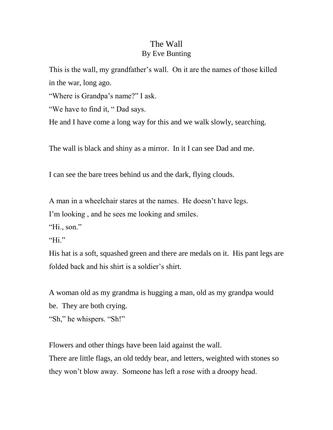## The Wall By Eve Bunting

This is the wall, my grandfather's wall. On it are the names of those killed in the war, long ago.

"Where is Grandpa's name?" I ask.

"We have to find it, " Dad says.

He and I have come a long way for this and we walk slowly, searching.

The wall is black and shiny as a mirror. In it I can see Dad and me.

I can see the bare trees behind us and the dark, flying clouds.

A man in a wheelchair stares at the names. He doesn't have legs.

I'm looking , and he sees me looking and smiles.

"Hi., son."

"Hi."

His hat is a soft, squashed green and there are medals on it. His pant legs are folded back and his shirt is a soldier's shirt.

A woman old as my grandma is hugging a man, old as my grandpa would be. They are both crying.

"Sh," he whispers. "Sh!"

Flowers and other things have been laid against the wall. There are little flags, an old teddy bear, and letters, weighted with stones so they won't blow away. Someone has left a rose with a droopy head.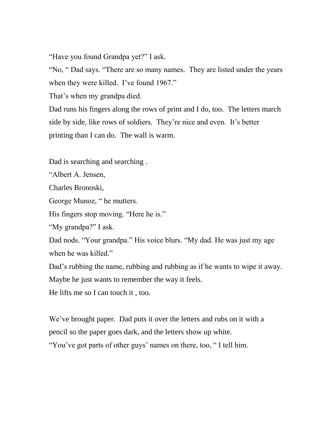"Have you found Grandpa yet?" I ask.

"No, " Dad says. "There are so many names. They are listed under the years when they were killed. I've found 1967."

That's when my grandpa died.

Dad runs his fingers along the rows of print and I do, too. The letters march side by side, like rows of soldiers. They're nice and even. It's better printing than I can do. The wall is warm.

Dad is searching and searching .

"Albert A. Jensen,

Charles Bronoski,

George Munoz, " he mutters.

His fingers stop moving. "Here he is."

"My grandpa?" I ask.

Dad nods. "Your grandpa." His voice blurs. "My dad. He was just my age when he was killed."

Dad's rubbing the name, rubbing and rubbing as if he wants to wipe it away.

Maybe he just wants to remember the way it feels.

He lifts me so I can touch it , too.

We've brought paper. Dad puts it over the letters and rubs on it with a pencil so the paper goes dark, and the letters show up white.

"You've got parts of other guys' names on there, too, " I tell him.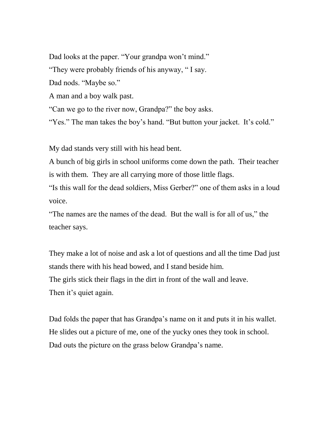Dad looks at the paper. "Your grandpa won't mind." "They were probably friends of his anyway, " I say. Dad nods. "Maybe so." A man and a boy walk past. "Can we go to the river now, Grandpa?" the boy asks. "Yes." The man takes the boy's hand. "But button your jacket. It's cold."

My dad stands very still with his head bent.

A bunch of big girls in school uniforms come down the path. Their teacher is with them. They are all carrying more of those little flags.

"Is this wall for the dead soldiers, Miss Gerber?" one of them asks in a loud voice.

"The names are the names of the dead. But the wall is for all of us," the teacher says.

They make a lot of noise and ask a lot of questions and all the time Dad just stands there with his head bowed, and I stand beside him. The girls stick their flags in the dirt in front of the wall and leave. Then it's quiet again.

Dad folds the paper that has Grandpa's name on it and puts it in his wallet. He slides out a picture of me, one of the yucky ones they took in school. Dad outs the picture on the grass below Grandpa's name.